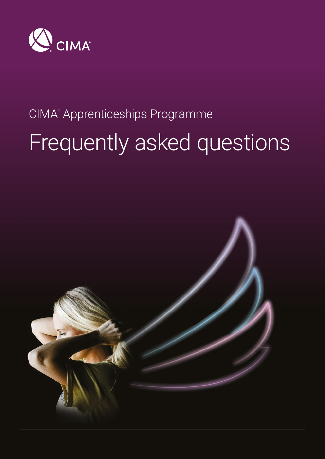

# CIMA® Apprenticeships Programme Frequently asked questions

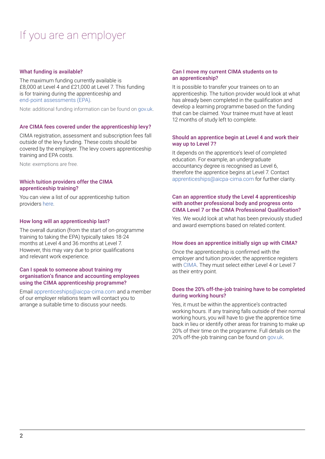# If you are an employer

# What funding is available?

The maximum funding currently available is £8,000 at Level 4 and £21,000 at Level 7. This funding is for training during the apprenticeship and [end-point assessments \(EPA\)](https://www.cimaglobal.com/EPA).

Note: additional funding information can be found on [gov.uk.](https://www.gov.uk/government/publications/apprenticeship-funding)

#### Are CIMA fees covered under the apprenticeship levy?

CIMA registration, assessment and subscription fees fall outside of the levy funding. These costs should be covered by the employer. The levy covers apprenticeship training and EPA costs.

Note: exemptions are free.

# Which tuition providers offer the CIMA apprenticeship training?

You can view a list of our apprenticeship tuition providers [here](https://www.cimaglobal.com/Our-locations/UK/Apprenticeships/Employers/).

## How long will an apprenticeship last?

The overall duration (from the start of on-programme training to taking the EPA) typically takes 18-24 months at Level 4 and 36 months at Level 7. However, this may vary due to prior qualifications and relevant work experience.

# Can I speak to someone about training my organisation's finance and accounting employees using the CIMA apprenticeship programme?

Email [apprenticeships@aicpa-cima.com](mailto:apprenticeships%40aicpa-cima.com?subject=) and a member of our employer relations team will contact you to arrange a suitable time to discuss your needs.

### Can I move my current CIMA students on to an apprenticeship?

It is possible to transfer your trainees on to an apprenticeship. The tuition provider would look at what has already been completed in the qualification and develop a learning programme based on the funding that can be claimed. Your trainee must have at least 12 months of study left to complete.

# Should an apprentice begin at Level 4 and work their way up to Level 7?

It depends on the apprentice's level of completed education. For example, an undergraduate accountancy degree is recognised as Level 6, therefore the apprentice begins at Level 7. Contact [apprenticeships@aicpa-cima.com](mailto:apprenticeships%40aicpa-cima.com?subject=) for further clarity.

## Can an apprentice study the Level 4 apprenticeship with another professional body and progress onto CIMA Level 7 or the CIMA Professional Qualification?

Yes. We would look at what has been previously studied and award exemptions based on related content.

# How does an apprentice initially sign up with CIMA?

Once the apprenticeship is confirmed with the employer and tuition provider, the apprentice registers with [CIMA.](https://www.cimaglobal.com/Starting-CIMA/Starting-CIMA/Registration/Student-Registration/) They must select either Level 4 or Level 7 as their entry point.

## Does the 20% off-the-job training have to be completed during working hours?

Yes, it must be within the apprentice's contracted working hours. If any training falls outside of their normal working hours, you will have to give the apprentice time back in lieu or identify other areas for training to make up 20% of their time on the programme. Full details on the 20% off-the-job training can be found on [gov.uk](https://www.gov.uk/government/publications/apprenticeships-off-the-job-training).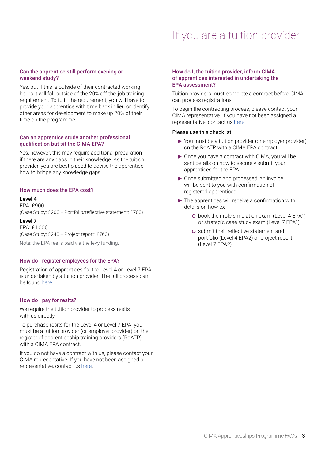# If you are a tuition provider

# Can the apprentice still perform evening or weekend study?

Yes, but if this is outside of their contracted working hours it will fall outside of the 20% off-the-job training requirement. To fulfil the requirement, you will have to provide your apprentice with time back in lieu or identify other areas for development to make up 20% of their time on the programme.

## Can an apprentice study another professional qualification but sit the CIMA EPA?

Yes, however, this may require additional preparation if there are any gaps in their knowledge. As the tuition provider, you are best placed to advise the apprentice how to bridge any knowledge gaps.

# How much does the EPA cost?

#### Level 4

EPA: £900 (Case Study: £200 + Portfolio/reflective statement: £700)

Level 7 EPA: £1,000 (Case Study: £240 + Project report: £760)

Note: the EPA fee is paid via the levy funding.

# How do I register employees for the EPA?

Registration of apprentices for the Level 4 or Level 7 EPA is undertaken by a tuition provider. The full process can be found [here](https://www.cimaglobal.com/Our-locations/UK/Apprenticeships/epa/process/).

# How do I pay for resits?

We require the tuition provider to process resits with us directly.

To purchase resits for the Level 4 or Level 7 EPA, you must be a tuition provider (or employer-provider) on the register of apprenticeship training providers (RoATP) with a CIMA EPA contract.

If you do not have a contract with us, please contact your CIMA representative. If you have not been assigned a representative, contact us [here](https://www.cimaglobal.com/Our-locations/UK/Apprenticeships/Contact/).

#### How do I, the tuition provider, inform CIMA of apprentices interested in undertaking the EPA assessment?

Tuition providers must complete a contract before CIMA can process registrations.

To begin the contracting process, please contact your CIMA representative. If you have not been assigned a representative, contact us [here.](https://www.cimaglobal.com/Our-locations/UK/Apprenticeships/Contact/)

#### Please use this checklist:

- ▶ You must be a tuition provider (or employer provider) on the RoATP with a CIMA EPA contract.
- ▶ Once you have a contract with CIMA, you will be sent details on how to securely submit your apprentices for the EPA.
- ▶ Once submitted and processed, an invoice will be sent to you with confirmation of registered apprentices.
- $\blacktriangleright$  The apprentices will receive a confirmation with details on how to:
	- book their role simulation exam (Level 4 EPA1) or strategic case study exam (Level 7 EPA1).
	- submit their reflective statement and portfolio (Level 4 EPA2) or project report (Level 7 EPA2).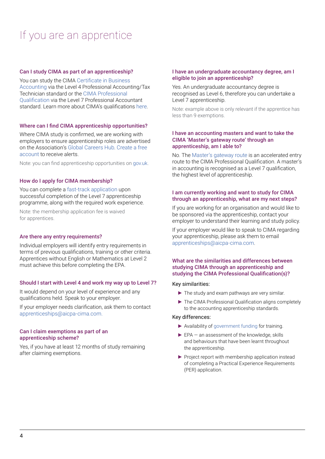# If you are an apprentice

# Can I study CIMA as part of an apprenticeship?

You can study the CIMA [Certificate in Business](https://www.cimaglobal.com/Qualifications/cert-ba/)  [Accounting](https://www.cimaglobal.com/Qualifications/cert-ba/) via the Level 4 Professional Accounting/Tax Technician standard or the [CIMA Professional](https://www.cimaglobal.com/Qualifications/Professional-Qualification/)  [Qualification](https://www.cimaglobal.com/Qualifications/Professional-Qualification/) via the Level 7 Professional Accountant standard. Learn more about CIMA's qualifications [here.](https://www.cimaglobal.com/Qualifications/)

#### Where can I find CIMA apprenticeship opportunities?

Where CIMA study is confirmed, we are working with employers to ensure apprenticeship roles are advertised on the Association's [Global Careers Hub](https://mycareer.aicpa-cima.com/). [Create a free](https://mycareer.aicpa-cima.com/register/)  [account](https://mycareer.aicpa-cima.com/register/) to receive alerts.

Note: you can find apprenticeship opportunities on [gov.uk](https://www.gov.uk/apply-apprenticeship).

#### How do I apply for CIMA membership?

You can complete a [fast-track application](https://www.cimaglobal.com/Documents/Apprenticeships/Membership%20Application%20Form%20-%20Apprentices%20V2.pdf) upon successful completion of the Level 7 apprenticeship programme, along with the required work experience.

Note: the membership application fee is waived for apprentices.

#### Are there any entry requirements?

Individual employers will identify entry requirements in terms of previous qualifications, training or other criteria. Apprentices without English or Mathematics at Level 2 must achieve this before completing the EPA.

#### Should I start with Level 4 and work my way up to Level 7?

It would depend on your level of experience and any qualifications held. Speak to your employer.

If your employer needs clarification, ask them to contact [apprenticeships@aicpa-cima.com.](mailto:apprenticeships%40aicpa-cima.com?subject=)

#### Can I claim exemptions as part of an apprenticeship scheme?

Yes, if you have at least 12 months of study remaining after claiming exemptions.

#### I have an undergraduate accountancy degree, am I eligible to join an apprenticeship?

Yes. An undergraduate accountancy degree is recognised as Level 6, therefore you can undertake a Level 7 apprenticeship.

Note: example above is only relevant if the apprentice has less than 9 exemptions.

#### I have an accounting masters and want to take the CIMA 'Master's gateway route' through an apprenticeship, am I able to?

No. The [Master's gateway route](https://www.cimaglobal.com/Starting-CIMA/Starting-CIMA/Entry-Routes/MBA-and-masters-in-accounting/Masters-gateway/) is an accelerated entry route to the CIMA Professional Qualification. A master's in accounting is recognised as a Level 7 qualification, the highest level of apprenticeship.

#### I am currently working and want to study for CIMA through an apprenticeship, what are my next steps?

If you are working for an organisation and would like to be sponsored via the apprenticeship, contact your employer to understand their learning and study policy.

If your employer would like to speak to CIMA regarding your apprenticeship, please ask them to email [apprenticeships@aicpa-cima.com](mailto:apprenticeships%40aicpa-cima.com?subject=).

# What are the similarities and differences between studying CIMA through an apprenticeship and studying the CIMA Professional Qualification(s)?

#### Key similarities:

- $\blacktriangleright$  The study and exam pathways are very similar.
- ▶ The CIMA Professional Qualification aligns completely to the accounting apprenticeship standards.

#### Key differences:

- Availability of [government funding](https://www.gov.uk/government/publications/apprenticeship-funding) for training.
- $\blacktriangleright$  EPA an assessment of the knowledge, skills and behaviours that have been learnt throughout the apprenticeship.
- Project report with membership application instead of completing a Practical Experience Requirements (PER) application.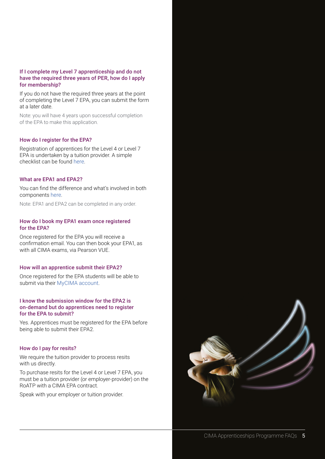# If I complete my Level 7 apprenticeship and do not have the required three years of PER, how do I apply for membership?

If you do not have the required three years at the point of completing the Level 7 EPA, you can submit the form at a later date.

Note: you will have 4 years upon successful completion of the EPA to make this application.

## How do I register for the EPA?

Registration of apprentices for the Level 4 or Level 7 EPA is undertaken by a tuition provider. A simple checklist can be found [here](https://www.cimaglobal.com/Our-locations/UK/Apprenticeships/Epa/).

#### What are EPA1 and EPA2?

You can find the difference and what's involved in both components [here.](https://www.cimaglobal.com/epa)

Note: EPA1 and EPA2 can be completed in any order.

# How do I book my EPA1 exam once registered for the EPA?

Once registered for the EPA you will receive a confirmation email. You can then book your EPA1, as with all CIMA exams, via Pearson VUE.

#### How will an apprentice submit their EPA2?

Once registered for the EPA students will be able to submit via their [MyCIMA account](https://www.cimaglobal.com/Login?ReturnUrl=%2fMy-Cima%2f).

# I know the submission window for the EPA2 is on-demand but do apprentices need to register for the EPA to submit?

Yes. Apprentices must be registered for the EPA before being able to submit their EPA2.

### How do I pay for resits?

We require the tuition provider to process resits with us directly.

To purchase resits for the Level 4 or Level 7 EPA, you must be a tuition provider (or employer-provider) on the RoATP with a CIMA EPA contract.

Speak with your employer or tuition provider.